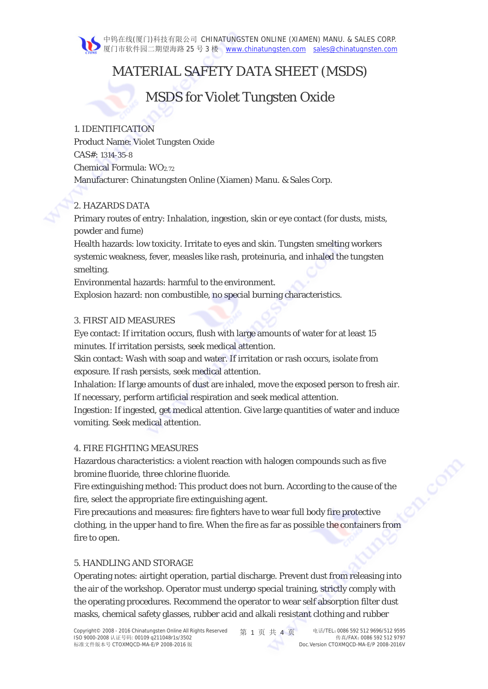# MATERIAL SAFETY DATA SHEET (MSDS)

# MSDS for Violet Tungsten Oxide

## 1. IDENTIFICATION

Product Name: Violet Tungsten Oxide CAS#: 1314-35-8 Chemical Formula:  $WO<sub>2.72</sub>$ Manufacturer: Chinatungsten Online (Xiamen) Manu. & Sales Corp.

## 2. HAZARDS DATA

Primary routes of entry: Inhalation, ingestion, skin or eye contact (for dusts, mists, powder and fume)

Health hazards: low toxicity. Irritate to eyes and skin. Tungsten smelting workers systemic weakness, fever, measles like rash, proteinuria, and inhaled the tungsten smelting.

Environmental hazards: harmful to the environment.

Explosion hazard: non combustible, no special burning characteristics.

# 3. FIRST AID MEASURES

Eye contact: If irritation occurs, flush with large amounts of water for at least 15 minutes. If irritation persists, seek medical attention.

Skin contact: Wash with soap and water. If irritation or rash occurs, isolate from exposure. If rash persists, seek medical attention.

Inhalation: If large amounts of dust are inhaled, move the exposed person to fresh air. If necessary, perform artificial respiration and seek medical attention.

Ingestion: If ingested, get medical attention. Give large quantities of water and induce vomiting. Seek medical attention.

## 4. FIRE FIGHTING MEASURES

Hazardous characteristics: a violent reaction with halogen compounds such as five bromine fluoride, three chlorine fluoride.

Fire extinguishing method: This product does not burn. According to the cause of the fire, select the appropriate fire extinguishing agent.

CODE

Fire precautions and measures: fire fighters have to wear full body fire protective clothing, in the upper hand to fire. When the fire as far as possible the containers from fire to open.

## 5. HANDLING AND STORAGE

Operating notes: airtight operation, partial discharge. Prevent dust from releasing into the air of the workshop. Operator must undergo special training, strictly comply with the operating procedures. Recommend the operator to wear self absorption filter dust masks, chemical safety glasses, rubber acid and alkali resistant clothing and rubber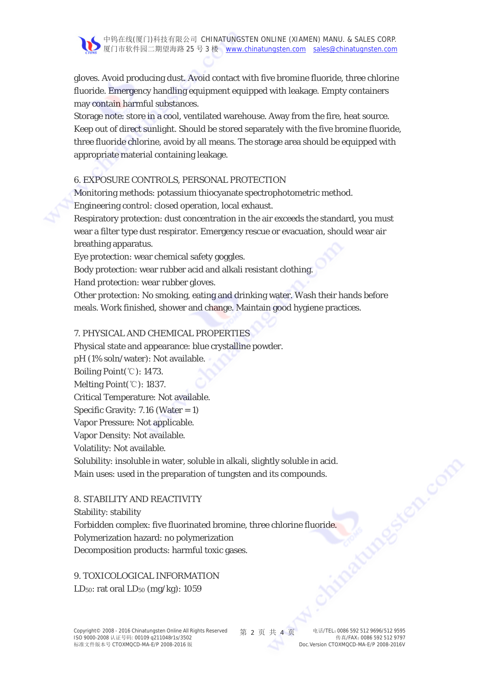gloves. Avoid producing dust. Avoid contact with five bromine fluoride, three chlorine fluoride. Emergency handling equipment equipped with leakage. Empty containers may contain harmful substances.

Storage note: store in a cool, ventilated warehouse. Away from the fire, heat source. Keep out of direct sunlight. Should be stored separately with the five bromine fluoride, three fluoride chlorine, avoid by all means. The storage area should be equipped with appropriate material containing leakage.

#### 6. EXPOSURE CONTROLS, PERSONAL PROTECTION

Monitoring methods: potassium thiocyanate spectrophotometric method.

Engineering control: closed operation, local exhaust.

Respiratory protection: dust concentration in the air exceeds the standard, you must wear a filter type dust respirator. Emergency rescue or evacuation, should wear air breathing apparatus.

Eye protection: wear chemical safety goggles.

Body protection: wear rubber acid and alkali resistant clothing.

Hand protection: wear rubber gloves.

Other protection: No smoking, eating and drinking water. Wash their hands before meals. Work finished, shower and change. Maintain good hygiene practices.

## 7. PHYSICAL AND CHEMICAL PROPERTIES

Physical state and appearance: blue crystalline powder. pH (1% soln/water): Not available.

Boiling Point(℃): 1473.

Melting Point(℃): 1837.

Critical Temperature: Not available.

Specific Gravity:  $7.16$  (Water = 1)

Vapor Pressure: Not applicable.

Vapor Density: Not available.

Volatility: Not available.

Solubility: insoluble in water, soluble in alkali, slightly soluble in acid. Main uses: used in the preparation of tungsten and its compounds.

## 8. STABILITY AND REACTIVITY

Stability: stability Forbidden complex: five fluorinated bromine, three chlorine fluoride. Polymerization hazard: no polymerization Decomposition products: harmful toxic gases.

9. TOXICOLOGICAL INFORMATION LD<sub>50</sub>: rat oral LD<sub>50</sub> (mg/kg):  $1059$ 

en com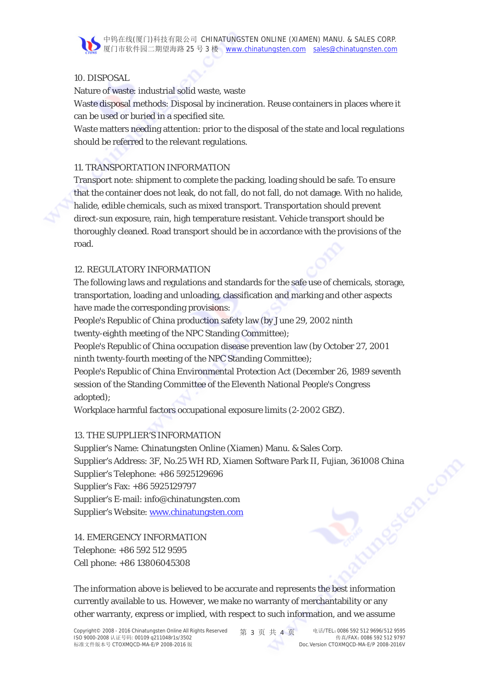

### 10. DISPOSAL

Nature of waste: industrial solid waste, waste

Waste disposal methods: Disposal by incineration. Reuse containers in places where it can be used or buried in a specified site.

Waste matters needing attention: prior to the disposal of the state and local regulations should be referred to the relevant regulations.

## 11. TRANSPORTATION INFORMATION

Transport note: shipment to complete the packing, loading should be safe. To ensure that the container does not leak, do not fall, do not fall, do not damage. With no halide, halide, edible chemicals, such as mixed transport. Transportation should prevent direct-sun exposure, rain, high temperature resistant. Vehicle transport should be thoroughly cleaned. Road transport should be in accordance with the provisions of the road.

## 12. REGULATORY INFORMATION

The following laws and regulations and standards for the safe use of chemicals, storage, transportation, loading and unloading, classification and marking and other aspects have made the corresponding provisions:

People's Republic of China production safety law (by June 29, 2002 ninth twenty-eighth meeting of the NPC Standing Committee);

People's Republic of China occupation disease prevention law (by October 27, 2001 ninth twenty-fourth meeting of the NPC Standing Committee);

People's Republic of China Environmental Protection Act (December 26, 1989 seventh session of the Standing Committee of the Eleventh National People's Congress adopted);

Workplace harmful factors occupational exposure limits (2-2002 GBZ).

## 13. THE SUPPLIER'S INFORMATION

Supplier's Name: Chinatungsten Online (Xiamen) Manu. & Sales Corp. Supplier's Address: 3F, No.25 WH RD, Xiamen Software Park II, Fujian, 361008 China<br>Supplier's Telephone: +86 5925129696<br>Supplier's Fax: +86 5925129797<br>Supplier's E-mail: info@chinatungsten.com<br>Supplier's Website: www.china Supplier's Telephone: +86 5925129696 Supplier's Fax: +86 5925129797 Supplier's E-mail: info@chinatungsten.com Supplier's Website: www.chinatungsten.com

14. EMERGENCY INFORMATION Telephone: +86 592 512 9595 Cell phone: +86 13806045308

The information above is believed to be accurate and represents the best information currently available to us. However, we make no warranty of merchantability or any other warranty, express or implied, with respect to such information, and we assume